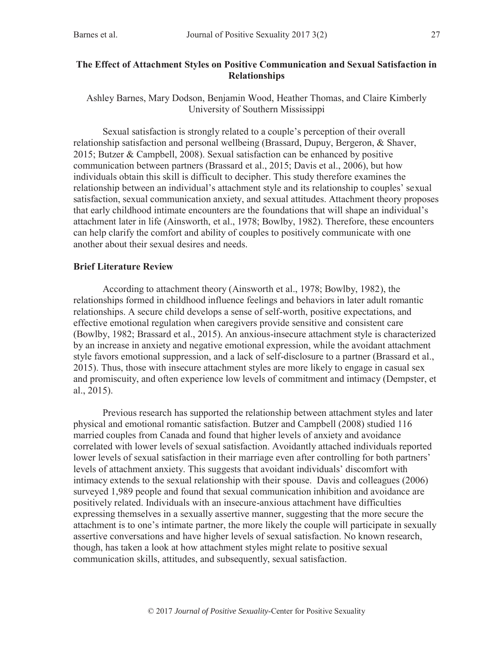### **The Effect of Attachment Styles on Positive Communication and Sexual Satisfaction in Relationships**

Ashley Barnes, Mary Dodson, Benjamin Wood, Heather Thomas, and Claire Kimberly University of Southern Mississippi

Sexual satisfaction is strongly related to a couple's perception of their overall relationship satisfaction and personal wellbeing (Brassard, Dupuy, Bergeron, & Shaver, 2015; Butzer & Campbell, 2008). Sexual satisfaction can be enhanced by positive communication between partners (Brassard et al., 2015; Davis et al., 2006), but how individuals obtain this skill is difficult to decipher. This study therefore examines the relationship between an individual's attachment style and its relationship to couples' sexual satisfaction, sexual communication anxiety, and sexual attitudes. Attachment theory proposes that early childhood intimate encounters are the foundations that will shape an individual's attachment later in life (Ainsworth, et al., 1978; Bowlby, 1982). Therefore, these encounters can help clarify the comfort and ability of couples to positively communicate with one another about their sexual desires and needs.

### **Brief Literature Review**

According to attachment theory (Ainsworth et al., 1978; Bowlby, 1982), the relationships formed in childhood influence feelings and behaviors in later adult romantic relationships. A secure child develops a sense of self-worth, positive expectations, and effective emotional regulation when caregivers provide sensitive and consistent care (Bowlby, 1982; Brassard et al., 2015). An anxious-insecure attachment style is characterized by an increase in anxiety and negative emotional expression, while the avoidant attachment style favors emotional suppression, and a lack of self-disclosure to a partner (Brassard et al., 2015). Thus, those with insecure attachment styles are more likely to engage in casual sex and promiscuity, and often experience low levels of commitment and intimacy (Dempster, et al., 2015).

Previous research has supported the relationship between attachment styles and later physical and emotional romantic satisfaction. Butzer and Campbell (2008) studied 116 married couples from Canada and found that higher levels of anxiety and avoidance correlated with lower levels of sexual satisfaction. Avoidantly attached individuals reported lower levels of sexual satisfaction in their marriage even after controlling for both partners' levels of attachment anxiety. This suggests that avoidant individuals' discomfort with intimacy extends to the sexual relationship with their spouse. Davis and colleagues (2006) surveyed 1,989 people and found that sexual communication inhibition and avoidance are positively related. Individuals with an insecure-anxious attachment have difficulties expressing themselves in a sexually assertive manner, suggesting that the more secure the attachment is to one's intimate partner, the more likely the couple will participate in sexually assertive conversations and have higher levels of sexual satisfaction. No known research, though, has taken a look at how attachment styles might relate to positive sexual communication skills, attitudes, and subsequently, sexual satisfaction.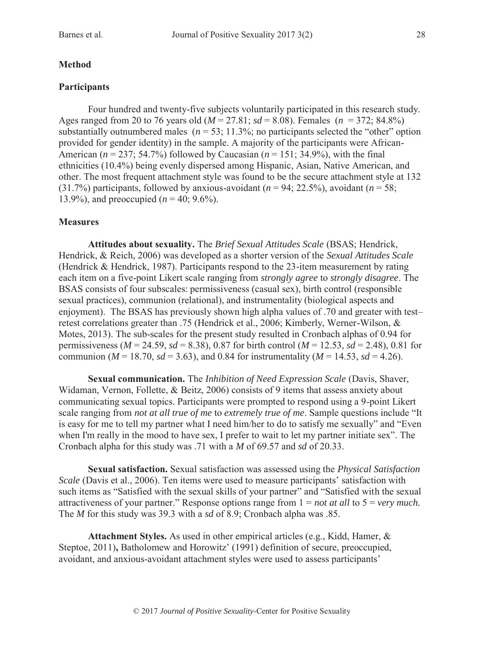# **Method**

# **Participants**

Four hundred and twenty-five subjects voluntarily participated in this research study. Ages ranged from 20 to 76 years old (*M* = 27.81; *sd* = 8.08). Females (*n* = 372; 84.8%) substantially outnumbered males ( $n = 53$ ; 11.3%; no participants selected the "other" option provided for gender identity) in the sample. A majority of the participants were African-American (*n* = 237; 54.7%) followed by Caucasian (*n* = 151; 34.9%), with the final ethnicities (10.4%) being evenly dispersed among Hispanic, Asian, Native American, and other. The most frequent attachment style was found to be the secure attachment style at 132 (31.7%) participants, followed by anxious-avoidant  $(n = 94; 22.5\%)$ , avoidant  $(n = 58;$ 13.9%), and preoccupied  $(n = 40; 9.6\%)$ .

# **Measures**

**Attitudes about sexuality.** The *Brief Sexual Attitudes Scale* (BSAS; Hendrick, Hendrick, & Reich, 2006) was developed as a shorter version of the *Sexual Attitudes Scale* (Hendrick & Hendrick, 1987). Participants respond to the 23-item measurement by rating each item on a five-point Likert scale ranging from *strongly agree* to *strongly disagree*. The BSAS consists of four subscales: permissiveness (casual sex), birth control (responsible sexual practices), communion (relational), and instrumentality (biological aspects and enjoyment). The BSAS has previously shown high alpha values of .70 and greater with test– retest correlations greater than .75 (Hendrick et al., 2006; Kimberly, Werner-Wilson, & Motes, 2013). The sub-scales for the present study resulted in Cronbach alphas of 0.94 for permissiveness ( $M = 24.59$ ,  $sd = 8.38$ ), 0.87 for birth control ( $M = 12.53$ ,  $sd = 2.48$ ), 0.81 for communion ( $M = 18.70$ ,  $sd = 3.63$ ), and 0.84 for instrumentality ( $M = 14.53$ ,  $sd = 4.26$ ).

**Sexual communication.** The *Inhibition of Need Expression Scale* (Davis, Shaver, Widaman, Vernon, Follette, & Beitz, 2006) consists of 9 items that assess anxiety about communicating sexual topics. Participants were prompted to respond using a 9-point Likert scale ranging from *not at all true of me* to *extremely true of me*. Sample questions include "It is easy for me to tell my partner what I need him/her to do to satisfy me sexually" and "Even when I'm really in the mood to have sex, I prefer to wait to let my partner initiate sex". The Cronbach alpha for this study was .71 with a *M* of 69.57 and *sd* of 20.33.

**Sexual satisfaction.** Sexual satisfaction was assessed using the *Physical Satisfaction Scale* (Davis et al., 2006). Ten items were used to measure participants' satisfaction with such items as "Satisfied with the sexual skills of your partner" and "Satisfied with the sexual attractiveness of your partner." Response options range from 1 = *not at all* to 5 = *very much.* The *M* for this study was 39.3 with a *sd* of 8.9; Cronbach alpha was .85.

**Attachment Styles.** As used in other empirical articles (e.g., Kidd, Hamer, & Steptoe, 2011)**,** Batholomew and Horowitz' (1991) definition of secure, preoccupied, avoidant, and anxious-avoidant attachment styles were used to assess participants'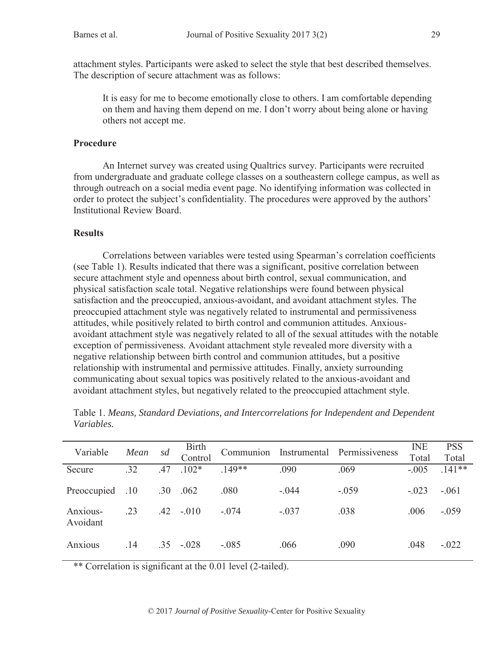attachment styles. Participants were asked to select the style that best described themselves. The description of secure attachment was as follows:

It is easy for me to become emotionally close to others. I am comfortable depending on them and having them depend on me. I don't worry about being alone or having others not accept me.

#### **Procedure**

An Internet survey was created using Qualtrics survey. Participants were recruited from undergraduate and graduate college classes on a southeastern college campus, as well as through outreach on a social media event page. No identifying information was collected in order to protect the subject's confidentiality. The procedures were approved by the authors' Institutional Review Board.

### **Results**

Correlations between variables were tested using Spearman's correlation coefficients (see Table 1). Results indicated that there was a significant, positive correlation between secure attachment style and openness about birth control, sexual communication, and physical satisfaction scale total. Negative relationships were found between physical satisfaction and the preoccupied, anxious-avoidant, and avoidant attachment styles. The preoccupied attachment style was negatively related to instrumental and permissiveness attitudes, while positively related to birth control and communion attitudes. Anxiousavoidant attachment style was negatively related to all of the sexual attitudes with the notable exception of permissiveness. Avoidant attachment style revealed more diversity with a negative relationship between birth control and communion attitudes, but a positive relationship with instrumental and permissive attitudes. Finally, anxiety surrounding communicating about sexual topics was positively related to the anxious-avoidant and avoidant attachment styles, but negatively related to the preoccupied attachment style.

| Variable    | Mean | sd  | <b>Birth</b><br>Control | Communion | Instrumental | Permissiveness | <b>INE</b><br>Total | <b>PSS</b><br>Total |
|-------------|------|-----|-------------------------|-----------|--------------|----------------|---------------------|---------------------|
| Secure      | .32  | .47 | $.102*$                 | $.149**$  | .090         | .069           | $-.005$             | $.141**$            |
|             |      |     |                         |           |              |                |                     |                     |
|             |      |     |                         |           |              |                |                     |                     |
| Preoccupied | .10  | .30 | .062                    | .080      | $-.044$      | $-.059$        | $-.023$             | $-.061$             |
|             |      |     |                         |           |              |                |                     |                     |
| Anxious-    | .23  | .42 | $-.010$                 | $-.074$   | $-.037$      | .038           | .006                | $-.059$             |
|             |      |     |                         |           |              |                |                     |                     |
| Avoidant    |      |     |                         |           |              |                |                     |                     |
|             |      |     |                         |           |              |                |                     |                     |
|             |      |     |                         |           |              |                |                     |                     |
| Anxious     | .14  | .35 | $-.028$                 | $-.085$   | .066         | .090           | .048                | $-.022$             |
|             |      |     |                         |           |              |                |                     |                     |

Table 1. *Means, Standard Deviations, and Intercorrelations for Independent and Dependent Variables.*

\*\* Correlation is significant at the 0.01 level (2-tailed).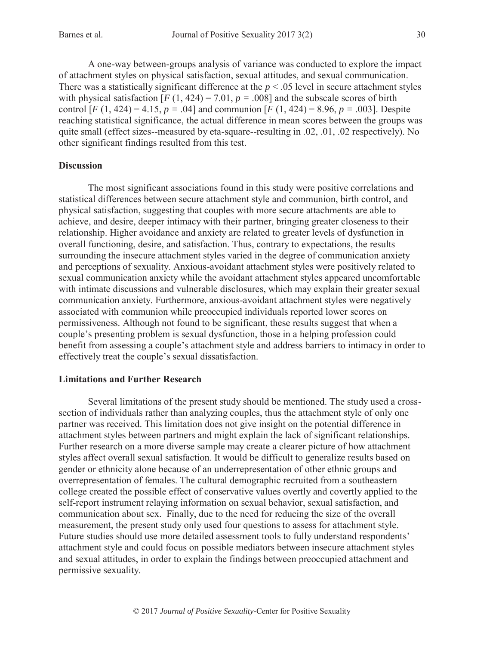A one-way between-groups analysis of variance was conducted to explore the impact of attachment styles on physical satisfaction, sexual attitudes, and sexual communication. There was a statistically significant difference at the  $p < .05$  level in secure attachment styles with physical satisfaction  $[F(1, 424) = 7.01, p = .008]$  and the subscale scores of birth control  $[F (1, 424) = 4.15, p = .04]$  and communion  $[F (1, 424) = 8.96, p = .003]$ . Despite reaching statistical significance, the actual difference in mean scores between the groups was quite small (effect sizes--measured by eta-square--resulting in .02, .01, .02 respectively). No other significant findings resulted from this test.

### **Discussion**

The most significant associations found in this study were positive correlations and statistical differences between secure attachment style and communion, birth control, and physical satisfaction, suggesting that couples with more secure attachments are able to achieve, and desire, deeper intimacy with their partner, bringing greater closeness to their relationship. Higher avoidance and anxiety are related to greater levels of dysfunction in overall functioning, desire, and satisfaction. Thus, contrary to expectations, the results surrounding the insecure attachment styles varied in the degree of communication anxiety and perceptions of sexuality. Anxious-avoidant attachment styles were positively related to sexual communication anxiety while the avoidant attachment styles appeared uncomfortable with intimate discussions and vulnerable disclosures, which may explain their greater sexual communication anxiety. Furthermore, anxious-avoidant attachment styles were negatively associated with communion while preoccupied individuals reported lower scores on permissiveness. Although not found to be significant, these results suggest that when a couple's presenting problem is sexual dysfunction, those in a helping profession could benefit from assessing a couple's attachment style and address barriers to intimacy in order to effectively treat the couple's sexual dissatisfaction.

### **Limitations and Further Research**

Several limitations of the present study should be mentioned. The study used a crosssection of individuals rather than analyzing couples, thus the attachment style of only one partner was received. This limitation does not give insight on the potential difference in attachment styles between partners and might explain the lack of significant relationships. Further research on a more diverse sample may create a clearer picture of how attachment styles affect overall sexual satisfaction. It would be difficult to generalize results based on gender or ethnicity alone because of an underrepresentation of other ethnic groups and overrepresentation of females. The cultural demographic recruited from a southeastern college created the possible effect of conservative values overtly and covertly applied to the self-report instrument relaying information on sexual behavior, sexual satisfaction, and communication about sex. Finally, due to the need for reducing the size of the overall measurement, the present study only used four questions to assess for attachment style. Future studies should use more detailed assessment tools to fully understand respondents' attachment style and could focus on possible mediators between insecure attachment styles and sexual attitudes, in order to explain the findings between preoccupied attachment and permissive sexuality.